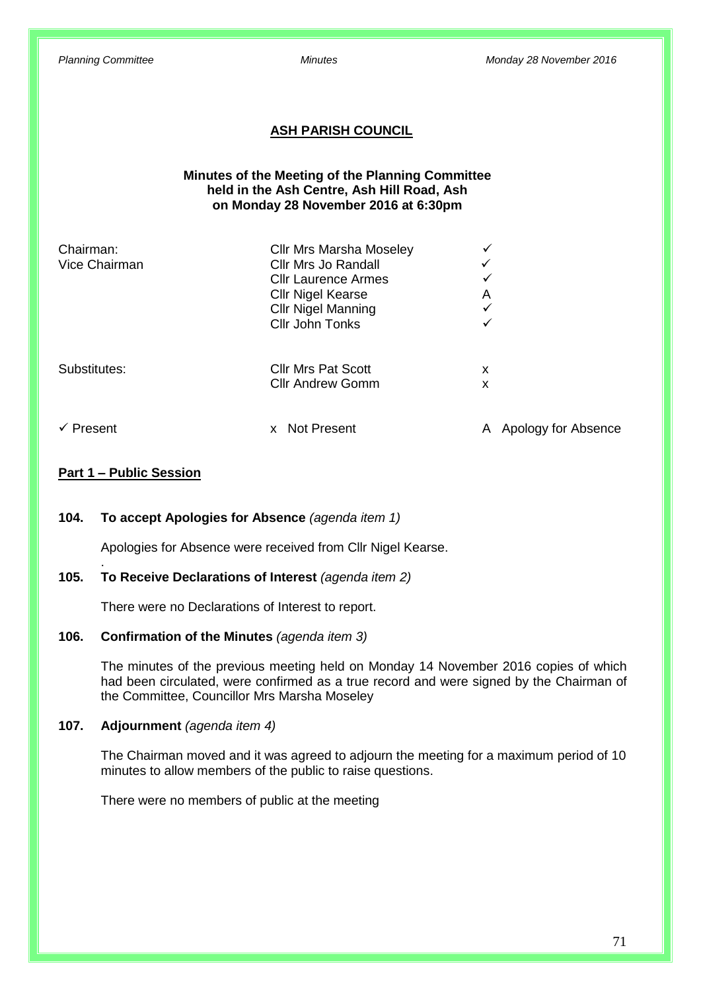## **ASH PARISH COUNCIL**

## **Minutes of the Meeting of the Planning Committee held in the Ash Centre, Ash Hill Road, Ash on Monday 28 November 2016 at 6:30pm**

| <b>Cllr Mrs Marsha Moseley</b> |                                                                             |                     |
|--------------------------------|-----------------------------------------------------------------------------|---------------------|
| Cllr Mrs Jo Randall            | ✓                                                                           |                     |
| <b>Cllr Laurence Armes</b>     | ✓                                                                           |                     |
|                                | A                                                                           |                     |
| <b>Cllr Nigel Manning</b>      | ✓                                                                           |                     |
| Cllr John Tonks                | ✓                                                                           |                     |
|                                |                                                                             |                     |
| <b>Cllr Andrew Gomm</b>        | x                                                                           |                     |
| X.                             |                                                                             | Apology for Absence |
|                                | <b>Cllr Nigel Kearse</b><br><b>Cllr Mrs Pat Scott</b><br><b>Not Present</b> | x                   |

## **Part 1 – Public Session**

.

## **104. To accept Apologies for Absence** *(agenda item 1)*

Apologies for Absence were received from Cllr Nigel Kearse.

## **105. To Receive Declarations of Interest** *(agenda item 2)*

There were no Declarations of Interest to report.

## **106. Confirmation of the Minutes** *(agenda item 3)*

The minutes of the previous meeting held on Monday 14 November 2016 copies of which had been circulated, were confirmed as a true record and were signed by the Chairman of the Committee, Councillor Mrs Marsha Moseley

## **107. Adjournment** *(agenda item 4)*

The Chairman moved and it was agreed to adjourn the meeting for a maximum period of 10 minutes to allow members of the public to raise questions.

There were no members of public at the meeting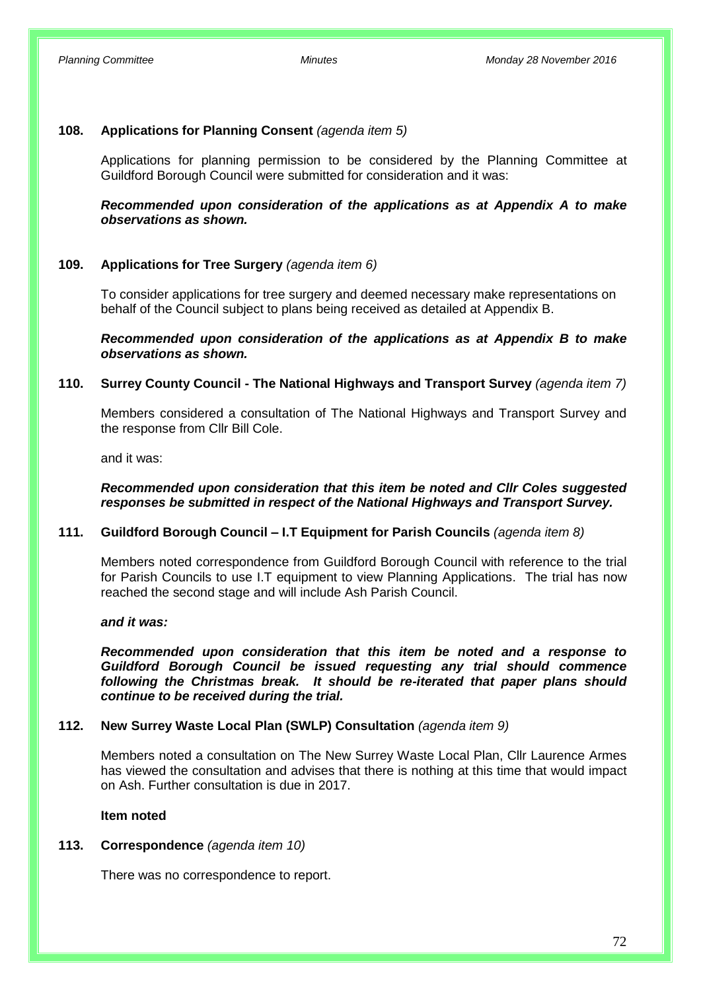## **108. Applications for Planning Consent** *(agenda item 5)*

Applications for planning permission to be considered by the Planning Committee at Guildford Borough Council were submitted for consideration and it was:

## *Recommended upon consideration of the applications as at Appendix A to make observations as shown.*

## **109. Applications for Tree Surgery** *(agenda item 6)*

To consider applications for tree surgery and deemed necessary make representations on behalf of the Council subject to plans being received as detailed at Appendix B.

*Recommended upon consideration of the applications as at Appendix B to make observations as shown.*

## **110. Surrey County Council - The National Highways and Transport Survey** *(agenda item 7)*

Members considered a consultation of The National Highways and Transport Survey and the response from Cllr Bill Cole.

and it was:

## *Recommended upon consideration that this item be noted and Cllr Coles suggested responses be submitted in respect of the National Highways and Transport Survey.*

## **111. Guildford Borough Council – I.T Equipment for Parish Councils** *(agenda item 8)*

Members noted correspondence from Guildford Borough Council with reference to the trial for Parish Councils to use I.T equipment to view Planning Applications. The trial has now reached the second stage and will include Ash Parish Council.

#### *and it was:*

*Recommended upon consideration that this item be noted and a response to Guildford Borough Council be issued requesting any trial should commence following the Christmas break. It should be re-iterated that paper plans should continue to be received during the trial.*

## **112. New Surrey Waste Local Plan (SWLP) Consultation** *(agenda item 9)*

Members noted a consultation on The New Surrey Waste Local Plan, Cllr Laurence Armes has viewed the consultation and advises that there is nothing at this time that would impact on Ash. Further consultation is due in 2017.

#### **Item noted**

## **113. Correspondence** *(agenda item 10)*

There was no correspondence to report.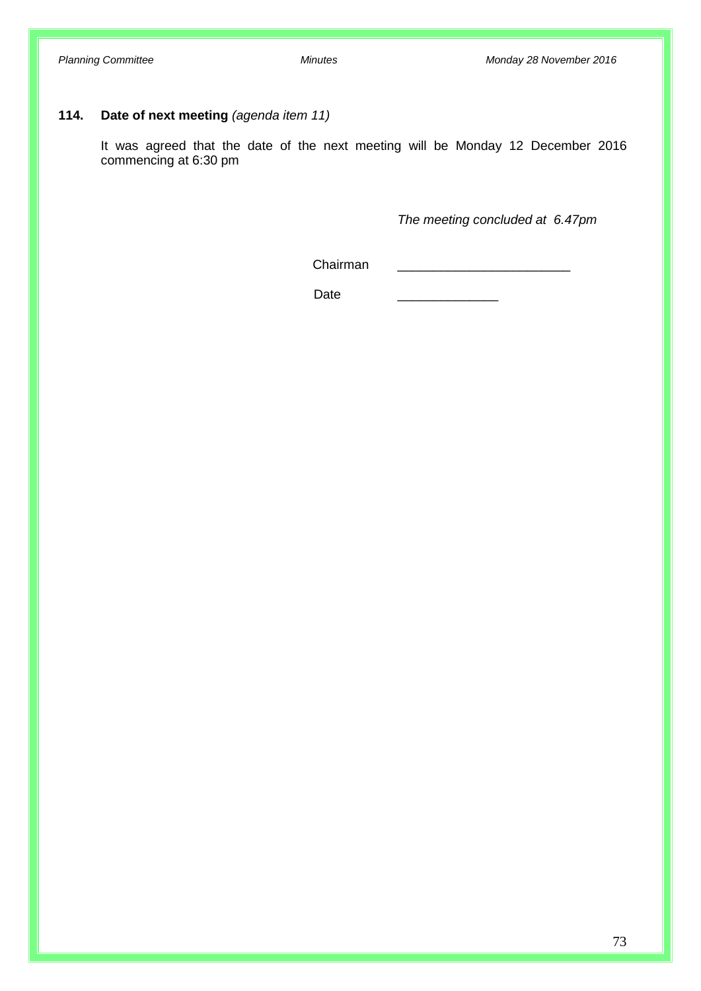# **114. Date of next meeting** *(agenda item 11)*

It was agreed that the date of the next meeting will be Monday 12 December 2016 commencing at 6:30 pm

*The meeting concluded at 6.47pm*

Chairman \_\_\_\_\_\_\_\_\_\_\_\_\_\_\_\_\_\_\_\_\_\_\_\_

Date \_\_\_\_\_\_\_\_\_\_\_\_\_\_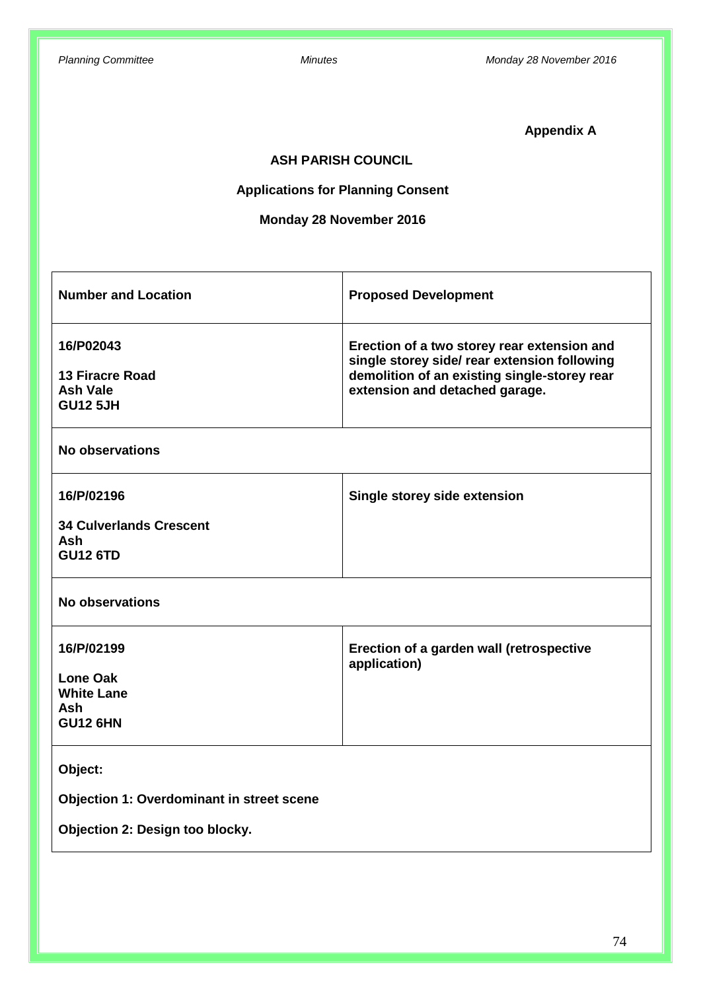**Appendix A**

# **ASH PARISH COUNCIL**

# **Applications for Planning Consent**

# **Monday 28 November 2016**

| <b>Number and Location</b>                                                          | <b>Proposed Development</b>                                                                                                                                                   |
|-------------------------------------------------------------------------------------|-------------------------------------------------------------------------------------------------------------------------------------------------------------------------------|
| 16/P02043<br><b>13 Firacre Road</b><br><b>Ash Vale</b><br><b>GU12 5JH</b>           | Erection of a two storey rear extension and<br>single storey side/ rear extension following<br>demolition of an existing single-storey rear<br>extension and detached garage. |
| <b>No observations</b>                                                              |                                                                                                                                                                               |
| 16/P/02196<br><b>34 Culverlands Crescent</b><br><b>Ash</b><br><b>GU12 6TD</b>       | Single storey side extension                                                                                                                                                  |
| No observations                                                                     |                                                                                                                                                                               |
| 16/P/02199<br><b>Lone Oak</b><br><b>White Lane</b><br><b>Ash</b><br><b>GU12 6HN</b> | Erection of a garden wall (retrospective<br>application)                                                                                                                      |
| Object:                                                                             |                                                                                                                                                                               |
| Objection 1: Overdominant in street scene<br>Objection 2: Design too blocky.        |                                                                                                                                                                               |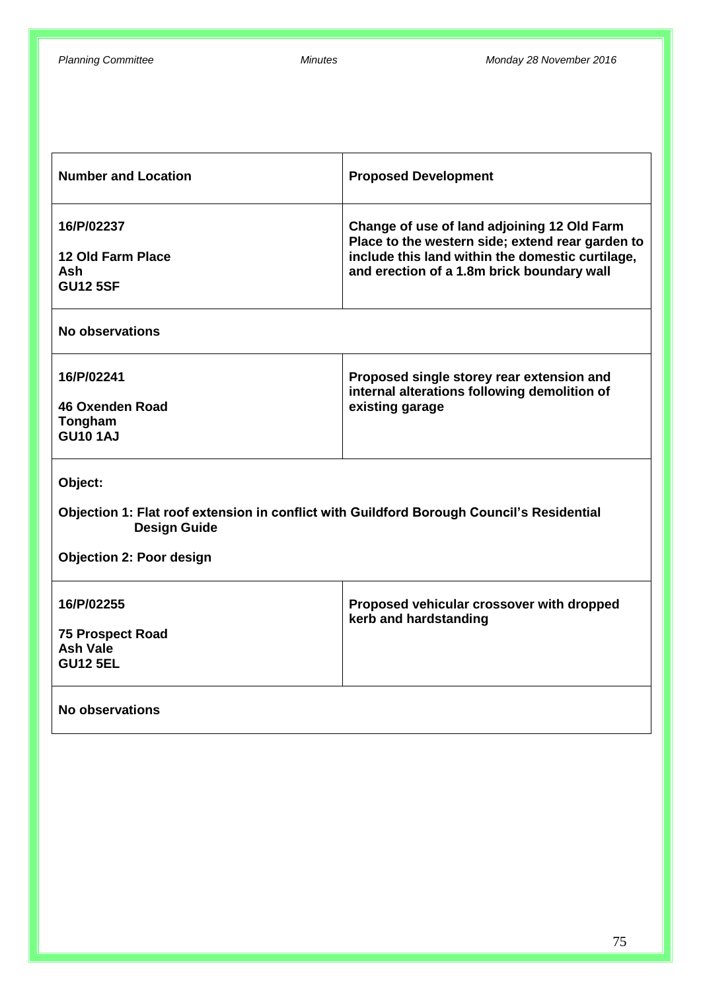| <b>Number and Location</b>                                                                                                                                     | <b>Proposed Development</b>                                                                                                                                                                       |  |  |
|----------------------------------------------------------------------------------------------------------------------------------------------------------------|---------------------------------------------------------------------------------------------------------------------------------------------------------------------------------------------------|--|--|
| 16/P/02237<br><b>12 Old Farm Place</b><br><b>Ash</b><br><b>GU12 5SF</b>                                                                                        | Change of use of land adjoining 12 Old Farm<br>Place to the western side; extend rear garden to<br>include this land within the domestic curtilage,<br>and erection of a 1.8m brick boundary wall |  |  |
| No observations                                                                                                                                                |                                                                                                                                                                                                   |  |  |
| 16/P/02241<br><b>46 Oxenden Road</b><br>Tongham<br><b>GU10 1AJ</b>                                                                                             | Proposed single storey rear extension and<br>internal alterations following demolition of<br>existing garage                                                                                      |  |  |
| Object:<br>Objection 1: Flat roof extension in conflict with Guildford Borough Council's Residential<br><b>Design Guide</b><br><b>Objection 2: Poor design</b> |                                                                                                                                                                                                   |  |  |
| 16/P/02255<br><b>75 Prospect Road</b><br>Ash Vale<br><b>GU12 5EL</b>                                                                                           | Proposed vehicular crossover with dropped<br>kerb and hardstanding                                                                                                                                |  |  |
| No observations                                                                                                                                                |                                                                                                                                                                                                   |  |  |